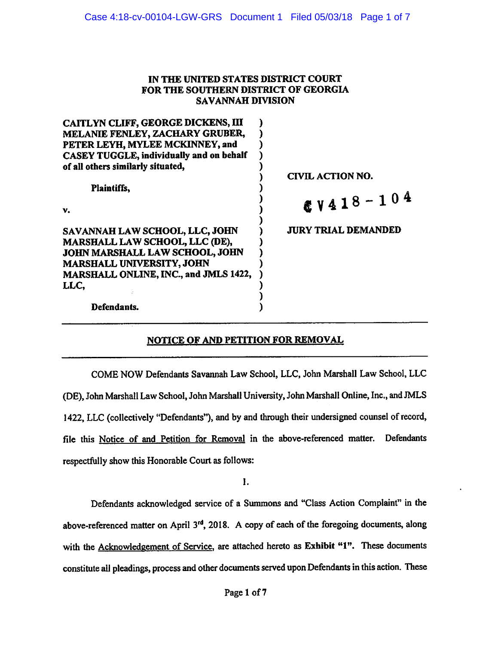### IN THE UNITED STATES DISTRICT COURT FOR THE SOUTHERN DISTRICT OF GEORGIA SAVANNAH DIVISION

| <b>CAITLYN CLIFF, GEORGE DICKENS, III</b>       |                            |
|-------------------------------------------------|----------------------------|
| MELANIE FENLEY, ZACHARY GRUBER,                 |                            |
| PETER LEYH, MYLEE MCKINNEY, and                 |                            |
| <b>CASEY TUGGLE, individually and on behalf</b> |                            |
| of all others similarly situated,               |                            |
|                                                 | CIVIL ACTION NO.           |
| Plaintiffs,                                     |                            |
|                                                 | $8V418 - 104$              |
| v.                                              |                            |
|                                                 | <b>JURY TRIAL DEMANDED</b> |
| SAVANNAH LAW SCHOOL, LLC, JOHN                  |                            |
| MARSHALL LAW SCHOOL, LLC (DE),                  |                            |
| JOHN MARSHALL LAW SCHOOL, JOHN                  |                            |
| <b>MARSHALL UNIVERSITY, JOHN</b>                |                            |
| MARSHALL ONLINE, INC., and JMLS 1422,           |                            |
| LLC,                                            |                            |
|                                                 |                            |
| Defendants.                                     |                            |

# NOTICE OF AND PETITION FOR REMOVAL

COME NOW Defendants Savannah Law School, LLC, John Marshall Law School, LLC (DE), John Marshall Law School, John Marshall University, John Marshall Online, Inc., and JMLS 1422, LLC (collectively "Defendants"), and by and through their undersigned counsel of record, file this Notice of and Petition for Removal in the above-referenced matter. Defendants respectfully show this Honorable Court as follows:

1.

Defendants acknowledged service of a Summons and "Class Action Complaint" in the above-referenced matter on April 3<sup>rd</sup>, 2018. A copy of each of the foregoing documents, along with the Acknowledgement of Service, are attached hereto as Exhibit "1". These documents constitute all pleadings, process and other documents served upon Defendants in this action. These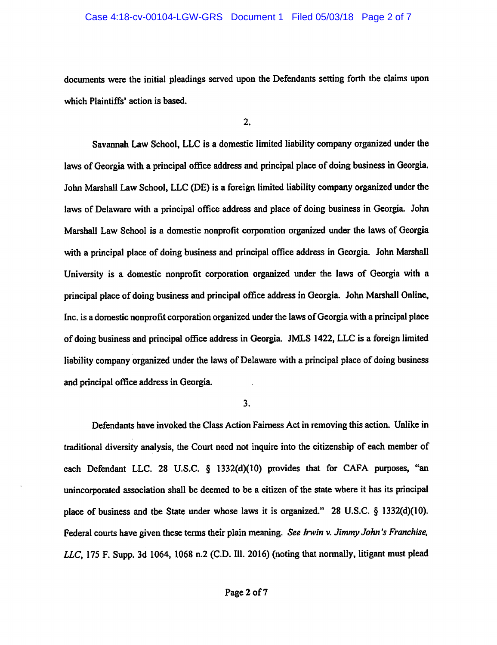#### Case 4:18-cv-00104-LGW-GRS Document 1 Filed 05/03/18 Page 2 of 7

documents were the initial pleadings served upon the Defendants setting forth the claims upon which Plaintiffs' action is based.

 $2.$ 

Savannah Law School, LLC is a domestic limited liability company organized under the laws of Georgia with a principal office address and principal place of doing business in Georgia. John Marshall Law School, LLC (DE) is a foreign limited liability company organized under the laws of Delaware with a principal office address and place of doing business in Georgia. John Marshall Law School is a domestic nonprofit corporation organized under the laws of Georgia with a principal place of doing business and principal office address in Georgia. John Marshall University is a domestic nonprofit corporation organized under the laws of Georgia with a principal place of doing business and principal office address in Georgia. John Marshall Online, Inc. is a domestic nonprofit corporation organized under the laws of Georgia with a principal place of doing business and principal office address in Georgia. JMLS 1422, LLC is a foreign limited liability company organized under the laws of Delaware with a principal place of doing business and principal office address in Georgia.

 $3.$ 

Defendants have invoked the Class Action Fairness Act in removing this action. Unlike in traditional diversity analysis, the Court need not inquire into the citizenship of each member of each Defendant LLC. 28 U.S.C. § 1332(d)(10) provides that for CAFA purposes, "an unincorporated association shall be deemed to be a citizen of the state where it has its principal place of business and the State under whose laws it is organized." 28 U.S.C. § 1332(d)(10). Federal courts have given these terms their plain meaning. See Irwin v. Jimmy John's Franchise, LLC, 175 F. Supp. 3d 1064, 1068 n.2 (C.D. Ill. 2016) (noting that normally, litigant must plead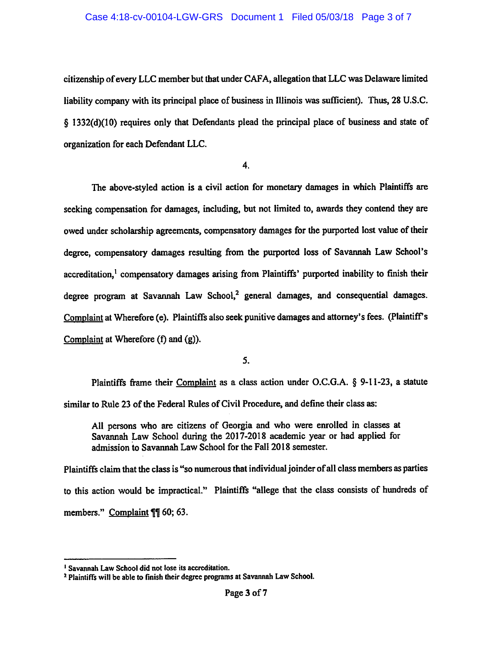#### Case 4:18-cv-00104-LGW-GRS Document 1 Filed 05/03/18 Page 3 of 7

citizenship of every LLC member but that under CAFA, allegation that LLC was Delaware limited liability company with its principal place of business in Illinois was sufficient). Thus, 28 U.S.C. § 1332(d)(10) requires only that Defendants plead the principal place of business and state of organization for each Defendant LLC.

 $4.$ 

The above-styled action is a civil action for monetary damages in which Plaintiffs are seeking compensation for damages, including, but not limited to, awards they contend they are owed under scholarship agreements, compensatory damages for the purported lost value of their degree, compensatory damages resulting from the purported loss of Savannah Law School's accreditation,<sup>1</sup> compensatory damages arising from Plaintiffs' purported inability to finish their degree program at Savannah Law School,<sup>2</sup> general damages, and consequential damages. Complaint at Wherefore (e). Plaintiffs also seek punitive damages and attorney's fees. (Plaintiff's Complaint at Wherefore (f) and (g)).

5.

Plaintiffs frame their Complaint as a class action under O.C.G.A. § 9-11-23, a statute similar to Rule 23 of the Federal Rules of Civil Procedure, and define their class as:

All persons who are citizens of Georgia and who were enrolled in classes at Savannah Law School during the 2017-2018 academic year or had applied for admission to Savannah Law School for the Fall 2018 semester.

Plaintiffs claim that the class is "so numerous that individual joinder of all class members as parties to this action would be impractical." Plaintiffs "allege that the class consists of hundreds of members." Complaint ¶¶ 60; 63.

<sup>&</sup>lt;sup>1</sup> Savannah Law School did not lose its accreditation.

<sup>&</sup>lt;sup>2</sup> Plaintiffs will be able to finish their degree programs at Savannah Law School.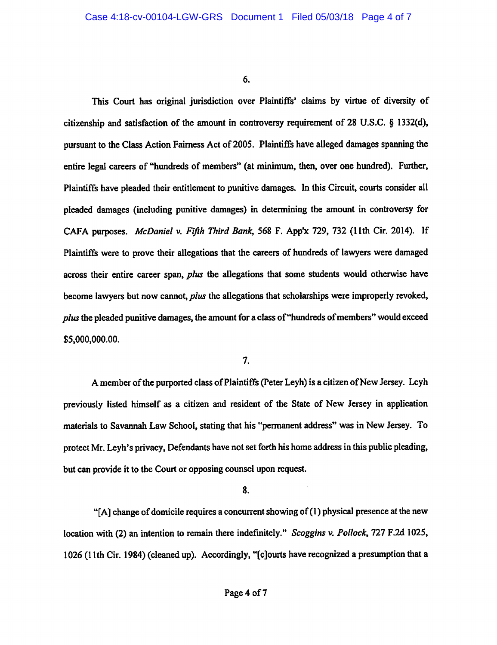6.

This Court has original jurisdiction over Plaintiffs' claims by virtue of diversity of citizenship and satisfaction of the amount in controversy requirement of 28 U.S.C. § 1332(d). pursuant to the Class Action Fairness Act of 2005. Plaintiffs have alleged damages spanning the entire legal careers of "hundreds of members" (at minimum, then, over one hundred). Further, Plaintiffs have pleaded their entitlement to punitive damages. In this Circuit, courts consider all pleaded damages (including punitive damages) in determining the amount in controversy for CAFA purposes. McDaniel v. Fifth Third Bank, 568 F. App'x 729, 732 (11th Cir. 2014). If Plaintiffs were to prove their allegations that the careers of hundreds of lawyers were damaged across their entire career span, plus the allegations that some students would otherwise have become lawyers but now cannot, *plus* the allegations that scholarships were improperly revoked, *plus* the pleaded punitive damages, the amount for a class of "hundreds of members" would exceed \$5,000,000.00.

7.

A member of the purported class of Plaintiffs (Peter Leyh) is a citizen of New Jersey. Leyh previously listed himself as a citizen and resident of the State of New Jersey in application materials to Savannah Law School, stating that his "permanent address" was in New Jersey. To protect Mr. Leyh's privacy, Defendants have not set forth his home address in this public pleading, but can provide it to the Court or opposing counsel upon request.

8.

"[A] change of domicile requires a concurrent showing of (1) physical presence at the new location with (2) an intention to remain there indefinitely." Scoggins v. Pollock, 727 F.2d 1025, 1026 (11th Cir. 1984) (cleaned up). Accordingly, "[c]ourts have recognized a presumption that a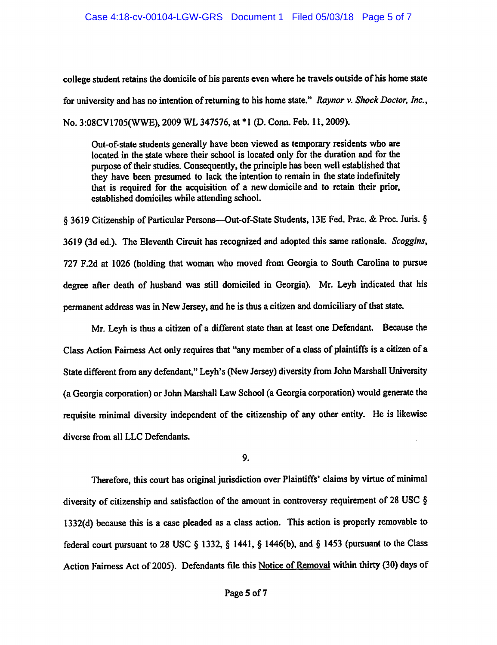college student retains the domicile of his parents even where he travels outside of his home state for university and has no intention of returning to his home state." Raynor v. Shock Doctor, Inc., No. 3:08CV1705(WWE), 2009 WL 347576, at \*1 (D. Conn. Feb. 11, 2009).

Out-of-state students generally have been viewed as temporary residents who are located in the state where their school is located only for the duration and for the purpose of their studies. Consequently, the principle has been well established that they have been presumed to lack the intention to remain in the state indefinitely that is required for the acquisition of a new domicile and to retain their prior, established domiciles while attending school.

§ 3619 Citizenship of Particular Persons—Out-of-State Students, 13E Fed. Prac. & Proc. Juris. § 3619 (3d ed.). The Eleventh Circuit has recognized and adopted this same rationale. Scoggins, 727 F.2d at 1026 (holding that woman who moved from Georgia to South Carolina to pursue degree after death of husband was still domiciled in Georgia). Mr. Leyh indicated that his permanent address was in New Jersey, and he is thus a citizen and domiciliary of that state.

Mr. Leyh is thus a citizen of a different state than at least one Defendant. Because the Class Action Fairness Act only requires that "any member of a class of plaintiffs is a citizen of a State different from any defendant," Leyh's (New Jersey) diversity from John Marshall University (a Georgia corporation) or John Marshall Law School (a Georgia corporation) would generate the requisite minimal diversity independent of the citizenship of any other entity. He is likewise diverse from all LLC Defendants.

### 9.

Therefore, this court has original jurisdiction over Plaintiffs' claims by virtue of minimal diversity of citizenship and satisfaction of the amount in controversy requirement of 28 USC § 1332(d) because this is a case pleaded as a class action. This action is properly removable to federal court pursuant to 28 USC § 1332, § 1441, § 1446(b), and § 1453 (pursuant to the Class Action Fairness Act of 2005). Defendants file this Notice of Removal within thirty (30) days of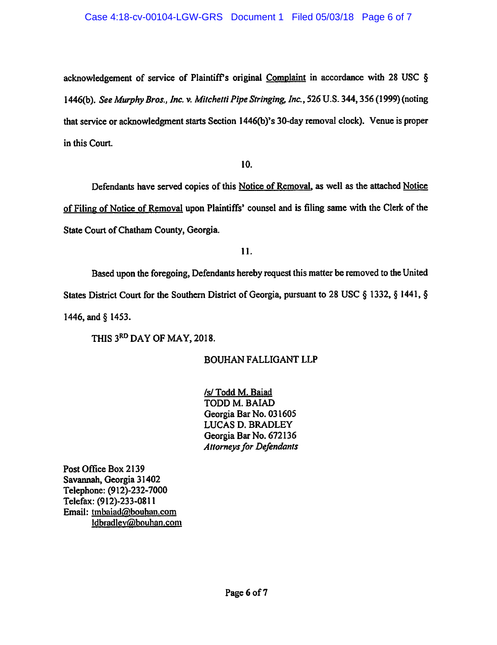acknowledgement of service of Plaintiff's original Complaint in accordance with 28 USC § 1446(b). See Murphy Bros., Inc. v. Mitchetti Pipe Stringing, Inc., 526 U.S. 344, 356 (1999) (noting that service or acknowledgment starts Section 1446(b)'s 30-day removal clock). Venue is proper in this Court.

10.

Defendants have served copies of this Notice of Removal, as well as the attached Notice of Filing of Notice of Removal upon Plaintiffs' counsel and is filing same with the Clerk of the State Court of Chatham County, Georgia.

11.

Based upon the foregoing, Defendants hereby request this matter be removed to the United States District Court for the Southern District of Georgia, pursuant to 28 USC § 1332, § 1441, § 1446, and § 1453.

THIS 3RD DAY OF MAY, 2018.

# **BOUHAN FALLIGANT LLP**

/s/ Todd M. Baiad TODD M. BAIAD Georgia Bar No. 031605 **LUCAS D. BRADLEY** Georgia Bar No. 672136 **Attorneys for Defendants** 

Post Office Box 2139 Savannah, Georgia 31402 Telephone: (912)-232-7000 Telefax: (912)-233-0811 Email: tmbaiad@bouhan.com Idbradlev@bouhan.com